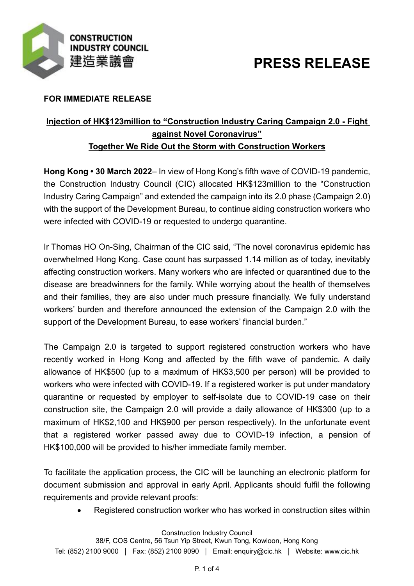

# **PRESS RELEASE**

### **FOR IMMEDIATE RELEASE**

## **Injection of HK\$123million to "Construction Industry Caring Campaign 2.0 - Fight against Novel Coronavirus" Together We Ride Out the Storm with Construction Workers**

**Hong Kong • 30 March 2022**– In view of Hong Kong's fifth wave of COVID-19 pandemic, the Construction Industry Council (CIC) allocated HK\$123million to the "Construction Industry Caring Campaign" and extended the campaign into its 2.0 phase (Campaign 2.0) with the support of the Development Bureau, to continue aiding construction workers who were infected with COVID-19 or requested to undergo quarantine.

Ir Thomas HO On-Sing, Chairman of the CIC said, "The novel coronavirus epidemic has overwhelmed Hong Kong. Case count has surpassed 1.14 million as of today, inevitably affecting construction workers. Many workers who are infected or quarantined due to the disease are breadwinners for the family. While worrying about the health of themselves and their families, they are also under much pressure financially. We fully understand workers' burden and therefore announced the extension of the Campaign 2.0 with the support of the Development Bureau, to ease workers' financial burden."

The Campaign 2.0 is targeted to support registered construction workers who have recently worked in Hong Kong and affected by the fifth wave of pandemic. A daily allowance of HK\$500 (up to a maximum of HK\$3,500 per person) will be provided to workers who were infected with COVID-19. If a registered worker is put under mandatory quarantine or requested by employer to self-isolate due to COVID-19 case on their construction site, the Campaign 2.0 will provide a daily allowance of HK\$300 (up to a maximum of HK\$2,100 and HK\$900 per person respectively). In the unfortunate event that a registered worker passed away due to COVID-19 infection, a pension of HK\$100,000 will be provided to his/her immediate family member.

To facilitate the application process, the CIC will be launching an electronic platform for document submission and approval in early April. Applicants should fulfil the following requirements and provide relevant proofs:

Registered construction worker who has worked in construction sites within

#### Construction Industry Council

38/F, COS Centre, 56 Tsun Yip Street, Kwun Tong, Kowloon, Hong Kong Tel: (852) 2100 9000 | Fax: (852) 2100 9090 | Email: enquiry@cic.hk | Website: www.cic.hk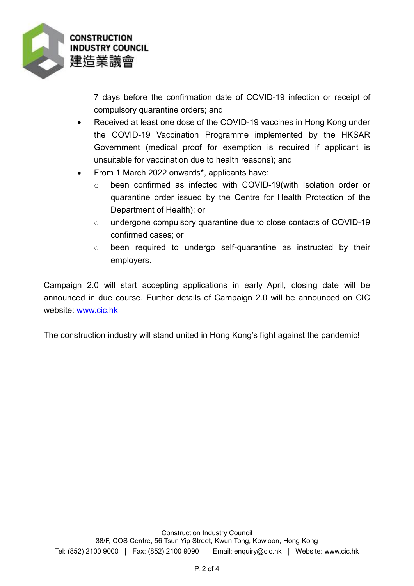

7 days before the confirmation date of COVID-19 infection or receipt of compulsory quarantine orders; and

- Received at least one dose of the COVID-19 vaccines in Hong Kong under the COVID-19 Vaccination Programme implemented by the HKSAR Government (medical proof for exemption is required if applicant is unsuitable for vaccination due to health reasons); and
- From 1 March 2022 onwards\*, applicants have:
	- o been confirmed as infected with COVID-19(with Isolation order or quarantine order issued by the Centre for Health Protection of the Department of Health); or
	- o undergone compulsory quarantine due to close contacts of COVID-19 confirmed cases; or
	- o been required to undergo self-quarantine as instructed by their employers.

Campaign 2.0 will start accepting applications in early April, closing date will be announced in due course. Further details of Campaign 2.0 will be announced on CIC website: [www.cic.hk](http://www.cic.hk/)

The construction industry will stand united in Hong Kong's fight against the pandemic!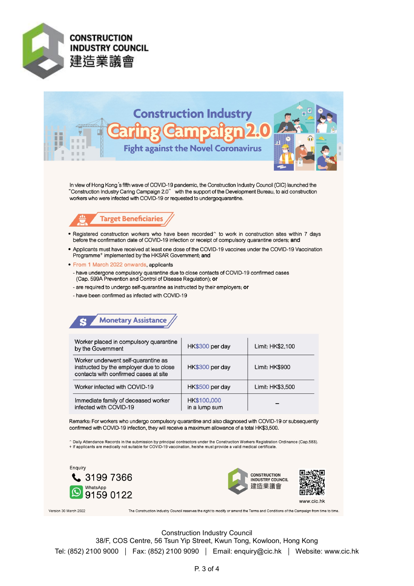



In view of Hong Kong's fifth wave of COVID-19 pandemic, the Construction Industry Council (CIC) launched the "Construction Industry Caring Campaign 2.0" with the support of the Development Bureau, to aid construction<br>workers who were infected with COVID-19 or requested to undergoquarantine.



- . Registered construction workers who have been recorded^ to work in construction sites within 7 days before the confirmation date of COVID-19 infection or receipt of compulsory quarantine orders; and
- Applicants must have received at least one dose of the COVID-19 vaccines under the COVID-19 Vaccination Programme<sup>+</sup> implemented by the HKSAR Government; and
- From 1 March 2022 onwards, applicants
- have undergone compulsory quarantine due to close contacts of COVID-19 confirmed cases (Cap. 599A Prevention and Control of Disease Regulation); or
- are required to undergo self-quarantine as instructed by their employers; or
- have been confirmed as infected with COVID-19



| Worker placed in compulsory quarantine<br>by the Government                                                             | HK\$300 per day              | Limit: HK\$2,100 |
|-------------------------------------------------------------------------------------------------------------------------|------------------------------|------------------|
| Worker underwent self-quarantine as<br>instructed by the employer due to close<br>contacts with confirmed cases at site | HK\$300 per day              | Limit: HK\$900   |
| Worker infected with COVID-19                                                                                           | HK\$500 per day              | Limit: HK\$3,500 |
| Immediate family of deceased worker<br>infected with COVID-19                                                           | HK\$100,000<br>in a lump sum |                  |

Remarks: For workers who undergo compulsory quarantine and also diagnosed with COVID-19 or subsequently confirmed with COVID-19 infection, they will receive a maximum allowance of a total HK\$3,500.

.<br>^ Daily Attendance Records in the submission by principal contractors under the Construction Workers Registration Ordinance (Cap.583). + If applicants are medically not suitable for COVID-19 vaccination, he/she must provide a valid medical certificate.







Version 30 March 2022

The Construction Industry Council reserves the right to modify or amend the Terms and Conditions of the Campaign from time to time.

**Construction Industry Council** 38/F, COS Centre, 56 Tsun Yip Street, Kwun Tong, Kowloon, Hong Kong Tel: (852) 2100 9000 | Fax: (852) 2100 9090 | Email: enquiry@cic.hk | Website: www.cic.hk